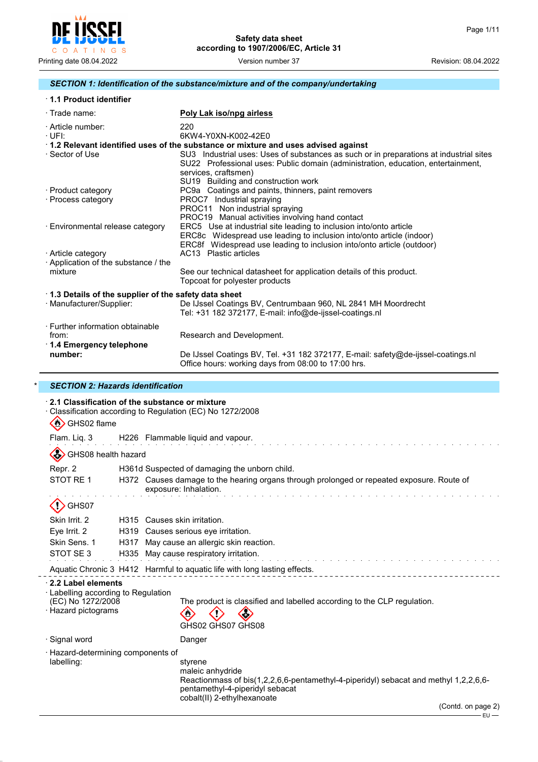

## *SECTION 1: Identification of the substance/mixture and of the company/undertaking*

| <b>1.1 Product identifier</b> |
|-------------------------------|
|-------------------------------|

| $\cdot$ Trade name:                                                  | Poly Lak iso/npg airless                                                                                                                                                                                                                  |  |  |
|----------------------------------------------------------------------|-------------------------------------------------------------------------------------------------------------------------------------------------------------------------------------------------------------------------------------------|--|--|
| · Article number:<br>$\cdot$ UFI:                                    | 220<br>6KW4-Y0XN-K002-42E0                                                                                                                                                                                                                |  |  |
|                                                                      | 1.2 Relevant identified uses of the substance or mixture and uses advised against                                                                                                                                                         |  |  |
| · Sector of Use                                                      | SU3 Industrial uses: Uses of substances as such or in preparations at industrial sites<br>SU22 Professional uses: Public domain (administration, education, entertainment,<br>services, craftsmen)<br>SU19 Building and construction work |  |  |
| · Product category                                                   | PC9a Coatings and paints, thinners, paint removers                                                                                                                                                                                        |  |  |
| · Process category                                                   | PROC7 Industrial spraying<br>PROC11 Non industrial spraying<br>PROC19 Manual activities involving hand contact                                                                                                                            |  |  |
| · Environmental release category                                     | ERC5 Use at industrial site leading to inclusion into/onto article<br>ERC8c Widespread use leading to inclusion into/onto article (indoor)<br>ERC8f Widespread use leading to inclusion into/onto article (outdoor)                       |  |  |
| · Article category                                                   | AC13 Plastic articles                                                                                                                                                                                                                     |  |  |
| Application of the substance / the                                   |                                                                                                                                                                                                                                           |  |  |
| mixture                                                              | See our technical datasheet for application details of this product.<br>Topcoat for polyester products                                                                                                                                    |  |  |
| 1.3 Details of the supplier of the safety data sheet                 |                                                                                                                                                                                                                                           |  |  |
| · Manufacturer/Supplier:                                             | De IJssel Coatings BV, Centrumbaan 960, NL 2841 MH Moordrecht<br>Tel: +31 182 372177, E-mail: info@de-ijssel-coatings.nl                                                                                                                  |  |  |
| · Further information obtainable<br>from:<br>1.4 Emergency telephone | Research and Development.                                                                                                                                                                                                                 |  |  |
| number:                                                              | De IJssel Coatings BV, Tel. +31 182 372177, E-mail: safety@de-ijssel-coatings.nl<br>Office hours: working days from 08:00 to 17:00 hrs.                                                                                                   |  |  |

## \* *SECTION 2: Hazards identification*

| $\sum_{i=1}^{n}$<br>GHS02 flame                                                                       |                                        | 2.1 Classification of the substance or mixture<br>Classification according to Regulation (EC) No 1272/2008                                                                                                            |  |
|-------------------------------------------------------------------------------------------------------|----------------------------------------|-----------------------------------------------------------------------------------------------------------------------------------------------------------------------------------------------------------------------|--|
| Flam. Liq. 3                                                                                          |                                        | H226 Flammable liquid and vapour.                                                                                                                                                                                     |  |
| GHS08 health hazard                                                                                   |                                        |                                                                                                                                                                                                                       |  |
| Repr. 2                                                                                               |                                        | H361d Suspected of damaging the unborn child.                                                                                                                                                                         |  |
| STOT RE 1                                                                                             |                                        | H372 Causes damage to the hearing organs through prolonged or repeated exposure. Route of<br>exposure: Inhalation.                                                                                                    |  |
| GHS07                                                                                                 |                                        |                                                                                                                                                                                                                       |  |
| Skin Irrit, 2                                                                                         |                                        | H315 Causes skin irritation.                                                                                                                                                                                          |  |
| Eye Irrit. 2                                                                                          | H319 Causes serious eye irritation.    |                                                                                                                                                                                                                       |  |
| Skin Sens. 1                                                                                          | H317                                   | May cause an allergic skin reaction.                                                                                                                                                                                  |  |
| STOT SE3                                                                                              | H335 May cause respiratory irritation. |                                                                                                                                                                                                                       |  |
|                                                                                                       |                                        | Aquatic Chronic 3 H412 Harmful to aquatic life with long lasting effects.                                                                                                                                             |  |
| 2.2 Label elements<br>· Labelling according to Regulation<br>(EC) No 1272/2008<br>· Hazard pictograms |                                        | The product is classified and labelled according to the CLP regulation.<br>$\mathbf{w}$<br>GHS02 GHS07 GHS08                                                                                                          |  |
| · Signal word                                                                                         |                                        | Danger                                                                                                                                                                                                                |  |
| · Hazard-determining components of<br>labelling:                                                      |                                        | styrene<br>maleic anhydride<br>Reactionmass of bis(1,2,2,6,6-pentamethyl-4-piperidyl) sebacat and methyl 1,2,2,6,6-<br>pentamethyl-4-piperidyl sebacat<br>cobalt(II) 2-ethylhexanoate<br>(Contd. on page 2)<br>$EU -$ |  |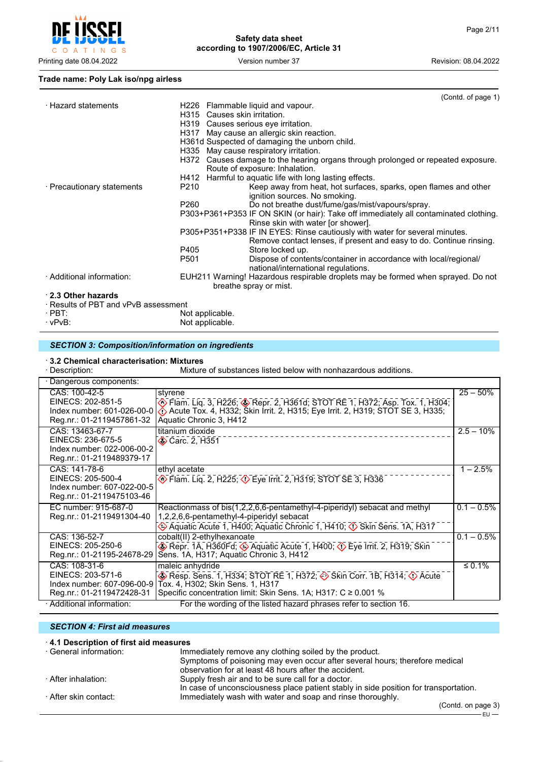

## **Trade name: Poly Lak iso/npg airless**

|                                      | (Contd. of page 1)                                                                                      |
|--------------------------------------|---------------------------------------------------------------------------------------------------------|
|                                      |                                                                                                         |
|                                      |                                                                                                         |
|                                      | H319 Causes serious eye irritation.                                                                     |
|                                      | H317 May cause an allergic skin reaction.                                                               |
|                                      | H361d Suspected of damaging the unborn child.                                                           |
|                                      | H335 May cause respiratory irritation.                                                                  |
|                                      | H372 Causes damage to the hearing organs through prolonged or repeated exposure.                        |
|                                      | Route of exposure: Inhalation.                                                                          |
|                                      | H412 Harmful to aquatic life with long lasting effects.                                                 |
| P210                                 | Keep away from heat, hot surfaces, sparks, open flames and other                                        |
|                                      | ignition sources. No smoking.                                                                           |
| P260                                 | Do not breathe dust/fume/gas/mist/vapours/spray.                                                        |
|                                      | P303+P361+P353 IF ON SKIN (or hair): Take off immediately all contaminated clothing.                    |
|                                      | Rinse skin with water [or shower].                                                                      |
|                                      | P305+P351+P338 IF IN EYES: Rinse cautiously with water for several minutes.                             |
|                                      | Remove contact lenses, if present and easy to do. Continue rinsing.                                     |
| P405                                 | Store locked up.                                                                                        |
| P501                                 | Dispose of contents/container in accordance with local/regional/                                        |
|                                      | national/international regulations.                                                                     |
|                                      | EUH211 Warning! Hazardous respirable droplets may be formed when sprayed. Do not                        |
|                                      | breathe spray or mist.                                                                                  |
|                                      |                                                                                                         |
| · Results of PBT and vPvB assessment |                                                                                                         |
|                                      |                                                                                                         |
|                                      |                                                                                                         |
|                                      | H226 Flammable liquid and vapour.<br>H315 Causes skin irritation.<br>Not applicable.<br>Not applicable. |

## *SECTION 3: Composition/information on ingredients*

# · **3.2 Chemical characterisation: Mixtures**

Mixture of substances listed below with nonhazardous additions.

| Dangerous components:                                                                           |                                                                                                                                                                                                      |               |  |  |
|-------------------------------------------------------------------------------------------------|------------------------------------------------------------------------------------------------------------------------------------------------------------------------------------------------------|---------------|--|--|
| CAS: 100-42-5<br>EINECS: 202-851-5<br>Index number: 601-026-00-0<br>Reg.nr.: 01-2119457861-32   | styrene<br>. Tiam. Liq. 3, H226; ⊗ Repr. 2, H361d; STOT RE 1, H372; Asp. Tox. 1, H304;<br>⊘ Acute Tox. 4, H332; Skin Irrit. 2, H315; Eye Irrit. 2, H319; STOT SE 3, H335;<br>Aquatic Chronic 3, H412 | $25 - 50%$    |  |  |
| CAS: 13463-67-7<br>EINECS: 236-675-5<br>Index number: 022-006-00-2<br>Reg.nr.: 01-2119489379-17 | titanium dioxide<br><b>◆ Carc. 2, H351</b>                                                                                                                                                           | $2.5 - 10\%$  |  |  |
| CAS: 141-78-6<br>EINECS: 205-500-4<br>Index number: 607-022-00-5<br>Reg.nr.: 01-2119475103-46   | ethyl acetate<br><b>Example 2, H225; &lt;&gt;&gt;&gt;</b> Eye Irrit. 2, H319; STOT SE 3, H336                                                                                                        | $1 - 2.5%$    |  |  |
| EC number: 915-687-0<br>Reg.nr.: 01-2119491304-40                                               | Reactionmass of bis(1,2,2,6,6-pentamethyl-4-piperidyl) sebacat and methyl<br>1,2,2,6,6-pentamethyl-4-piperidyl sebacat<br>Aquatic Acute 1, H400; Aquatic Chronic 1, H410; 1> Skin Sens. 1A, H317     | $0.1 - 0.5\%$ |  |  |
| CAS: 136-52-7<br>EINECS: 205-250-6<br>Reg.nr.: 01-21195-24678-29                                | cobalt(II) 2-ethylhexanoate<br>Repr. 1A, H360Fd; $\Diamond$ Aquatic Acute 1, H400; $\Diamond$ Eye Irrit. 2, H319; Skin<br>Sens. 1A, H317; Aquatic Chronic 3, H412                                    | $0.1 - 0.5\%$ |  |  |
| CAS: 108-31-6<br>EINECS: 203-571-6<br>Index number: 607-096-00-9<br>Reg.nr.: 01-2119472428-31   | maleic anhydride<br>Resp. Sens. 1, H334; STOT RE 1, H372; Skin Corr. 1B, H314; O Acute<br>Tox. 4, H302; Skin Sens. 1, H317<br>Specific concentration limit: Skin Sens. 1A; H317: C ≥ 0.001 %         | $\leq 0.1\%$  |  |  |
| · Additional information:                                                                       | For the wording of the listed hazard phrases refer to section 16.                                                                                                                                    |               |  |  |

#### *SECTION 4: First aid measures*

| 4.1 Description of first aid measures |                                                                                                                                            |
|---------------------------------------|--------------------------------------------------------------------------------------------------------------------------------------------|
| ⋅ General information:                | Immediately remove any clothing soiled by the product.                                                                                     |
|                                       | Symptoms of poisoning may even occur after several hours; therefore medical<br>observation for at least 48 hours after the accident.       |
| After inhalation: ·                   | Supply fresh air and to be sure call for a doctor.<br>In case of unconsciousness place patient stably in side position for transportation. |
| · After skin contact:                 | Immediately wash with water and soap and rinse thoroughly.<br>$\int$ Contd on nago $\frac{2}{3}$                                           |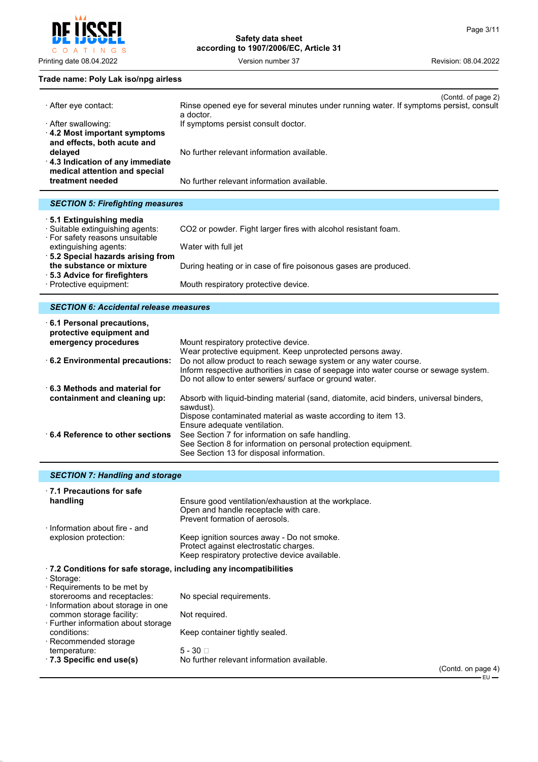

**Safety data sheet according to 1907/2006/EC, Article 31**

## **Trade name: Poly Lak iso/npg airless**

|                                                                  | (Contd. of page 2)                                                                                  |
|------------------------------------------------------------------|-----------------------------------------------------------------------------------------------------|
| ⋅ After eye contact:                                             | Rinse opened eye for several minutes under running water. If symptoms persist, consult<br>a doctor. |
| · After swallowing:                                              | If symptoms persist consult doctor.                                                                 |
| 4.2 Most important symptoms<br>and effects, both acute and       |                                                                                                     |
| delayed                                                          | No further relevant information available.                                                          |
| 4.3 Indication of any immediate<br>medical attention and special |                                                                                                     |
| treatment needed                                                 | No further relevant information available.                                                          |
|                                                                  |                                                                                                     |
| <b>SECTION 5: Firefighting measures</b>                          |                                                                                                     |
| 5.1 Extinguishing media                                          |                                                                                                     |

| · Suitable extinguishing agents: | CO2 or powder. Fight larger fires with alcohol resistant foam.  |
|----------------------------------|-----------------------------------------------------------------|
| ⋅ For safety reasons unsuitable  |                                                                 |
| extinguishing agents:            | Water with full jet                                             |
| 5.2 Special hazards arising from |                                                                 |
| the substance or mixture         | During heating or in case of fire poisonous gases are produced. |
| ⋅ 5.3 Advice for firefighters    |                                                                 |
| · Protective equipment:          | Mouth respiratory protective device.                            |

## *SECTION 6: Accidental release measures*

| 6.1 Personal precautions,<br>protective equipment and |                                                                                                     |
|-------------------------------------------------------|-----------------------------------------------------------------------------------------------------|
| emergency procedures                                  | Mount respiratory protective device.                                                                |
|                                                       | Wear protective equipment. Keep unprotected persons away.                                           |
| 6.2 Environmental precautions:                        | Do not allow product to reach sewage system or any water course.                                    |
|                                                       | Inform respective authorities in case of seepage into water course or sewage system.                |
|                                                       | Do not allow to enter sewers/ surface or ground water.                                              |
| $\cdot$ 6.3 Methods and material for                  |                                                                                                     |
| containment and cleaning up:                          | Absorb with liquid-binding material (sand, diatomite, acid binders, universal binders,<br>sawdust). |
|                                                       | Dispose contaminated material as waste according to item 13.                                        |
|                                                       | Ensure adequate ventilation.                                                                        |
| 6.4 Reference to other sections                       | See Section 7 for information on safe handling.                                                     |
|                                                       | See Section 8 for information on personal protection equipment.                                     |
|                                                       | See Section 13 for disposal information.                                                            |

## *SECTION 7: Handling and storage*

| $\cdot$ 7.1 Precautions for safe<br>handling                                                                                                                                      | Ensure good ventilation/exhaustion at the workplace.<br>Open and handle receptacle with care.<br>Prevent formation of aerosols.       |                          |
|-----------------------------------------------------------------------------------------------------------------------------------------------------------------------------------|---------------------------------------------------------------------------------------------------------------------------------------|--------------------------|
| Information about fire - and<br>explosion protection:                                                                                                                             | Keep ignition sources away - Do not smoke.<br>Protect against electrostatic charges.<br>Keep respiratory protective device available. |                          |
| .7.2 Conditions for safe storage, including any incompatibilities<br>· Storage:<br>· Requirements to be met by<br>storerooms and receptacles:<br>Information about storage in one | No special requirements.                                                                                                              |                          |
| common storage facility:<br>· Further information about storage<br>conditions:<br>$\cdot$ Recommended storage                                                                     | Not required.<br>Keep container tightly sealed.                                                                                       |                          |
| temperature:<br>$\cdot$ 7.3 Specific end use(s)                                                                                                                                   | $5 - 30$<br>No further relevant information available.                                                                                | $\mathcal{C}$ ontd on na |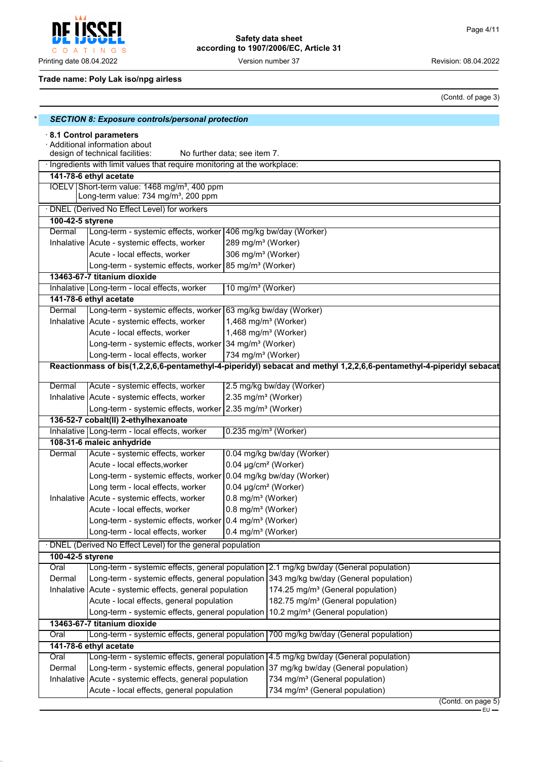POFI Į C O A T I N G S

Printing date 08.04.2022 **Version number 37** Version number 37 Revision: 08.04.2022

## **Safety data sheet according to 1907/2006/EC, Article 31**

## **Trade name: Poly Lak iso/npg airless**

(Contd. of page 3)

|                                                                                                                             | <b>SECTION 8: Exposure controls/personal protection</b>                   |                                    |                                                                                                                     |  |  |  |
|-----------------------------------------------------------------------------------------------------------------------------|---------------------------------------------------------------------------|------------------------------------|---------------------------------------------------------------------------------------------------------------------|--|--|--|
| 8.1 Control parameters<br>· Additional information about<br>design of technical facilities:<br>No further data; see item 7. |                                                                           |                                    |                                                                                                                     |  |  |  |
|                                                                                                                             | · Ingredients with limit values that require monitoring at the workplace: |                                    |                                                                                                                     |  |  |  |
|                                                                                                                             | 141-78-6 ethyl acetate                                                    |                                    |                                                                                                                     |  |  |  |
|                                                                                                                             | IOELV Short-term value: 1468 mg/m <sup>3</sup> , 400 ppm                  |                                    |                                                                                                                     |  |  |  |
|                                                                                                                             | Long-term value: 734 mg/m <sup>3</sup> , 200 ppm                          |                                    |                                                                                                                     |  |  |  |
|                                                                                                                             | · DNEL (Derived No Effect Level) for workers                              |                                    |                                                                                                                     |  |  |  |
| 100-42-5 styrene                                                                                                            |                                                                           |                                    |                                                                                                                     |  |  |  |
| Dermal                                                                                                                      | Long-term - systemic effects, worker 406 mg/kg bw/day (Worker)            |                                    |                                                                                                                     |  |  |  |
|                                                                                                                             | Inhalative   Acute - systemic effects, worker                             | 289 mg/m <sup>3</sup> (Worker)     |                                                                                                                     |  |  |  |
|                                                                                                                             | Acute - local effects, worker                                             | 306 mg/m <sup>3</sup> (Worker)     |                                                                                                                     |  |  |  |
|                                                                                                                             | Long-term - systemic effects, worker 85 mg/m <sup>3</sup> (Worker)        |                                    |                                                                                                                     |  |  |  |
|                                                                                                                             | 13463-67-7 titanium dioxide                                               |                                    |                                                                                                                     |  |  |  |
|                                                                                                                             | Inhalative   Long-term - local effects, worker                            | 10 mg/m <sup>3</sup> (Worker)      |                                                                                                                     |  |  |  |
|                                                                                                                             | 141-78-6 ethyl acetate                                                    |                                    |                                                                                                                     |  |  |  |
| Dermal                                                                                                                      | Long-term - systemic effects, worker 63 mg/kg bw/day (Worker)             |                                    |                                                                                                                     |  |  |  |
|                                                                                                                             | Inhalative Acute - systemic effects, worker                               | 1,468 mg/m <sup>3</sup> (Worker)   |                                                                                                                     |  |  |  |
|                                                                                                                             | Acute - local effects, worker                                             | 1,468 mg/m <sup>3</sup> (Worker)   |                                                                                                                     |  |  |  |
|                                                                                                                             | Long-term - systemic effects, worker 34 mg/m <sup>3</sup> (Worker)        |                                    |                                                                                                                     |  |  |  |
|                                                                                                                             | Long-term - local effects, worker                                         | 734 mg/m <sup>3</sup> (Worker)     |                                                                                                                     |  |  |  |
|                                                                                                                             |                                                                           |                                    | Reactionmass of bis(1,2,2,6,6-pentamethyl-4-piperidyl) sebacat and methyl 1,2,2,6,6-pentamethyl-4-piperidyl sebacat |  |  |  |
|                                                                                                                             |                                                                           |                                    |                                                                                                                     |  |  |  |
| Dermal                                                                                                                      | Acute - systemic effects, worker                                          |                                    | 2.5 mg/kg bw/day (Worker)                                                                                           |  |  |  |
|                                                                                                                             | Inhalative   Acute - systemic effects, worker                             | 2.35 mg/m <sup>3</sup> (Worker)    |                                                                                                                     |  |  |  |
|                                                                                                                             | Long-term - systemic effects, worker 2.35 mg/m <sup>3</sup> (Worker)      |                                    |                                                                                                                     |  |  |  |
|                                                                                                                             | 136-52-7 cobalt(II) 2-ethylhexanoate                                      |                                    |                                                                                                                     |  |  |  |
|                                                                                                                             | Inhalative   Long-term - local effects, worker                            | $0.235$ mg/m <sup>3</sup> (Worker) |                                                                                                                     |  |  |  |
|                                                                                                                             | 108-31-6 maleic anhydride                                                 |                                    |                                                                                                                     |  |  |  |
| Dermal                                                                                                                      | Acute - systemic effects, worker                                          |                                    | 0.04 mg/kg bw/day (Worker)                                                                                          |  |  |  |
|                                                                                                                             | Acute - local effects, worker                                             | 0.04 µg/cm <sup>2</sup> (Worker)   |                                                                                                                     |  |  |  |
|                                                                                                                             | Long-term - systemic effects, worker                                      |                                    | 0.04 mg/kg bw/day (Worker)                                                                                          |  |  |  |
|                                                                                                                             | Long term - local effects, worker                                         | 0.04 µg/cm <sup>2</sup> (Worker)   |                                                                                                                     |  |  |  |
|                                                                                                                             | Inhalative   Acute - systemic effects, worker                             | 0.8 mg/m <sup>3</sup> (Worker)     |                                                                                                                     |  |  |  |
|                                                                                                                             | Acute - local effects, worker                                             | 0.8 mg/m <sup>3</sup> (Worker)     |                                                                                                                     |  |  |  |
|                                                                                                                             | Long-term - systemic effects, worker 0.4 mg/m <sup>3</sup> (Worker)       |                                    |                                                                                                                     |  |  |  |
|                                                                                                                             | Long-term - local effects, worker                                         | 0.4 mg/m <sup>3</sup> (Worker)     |                                                                                                                     |  |  |  |
|                                                                                                                             | · DNEL (Derived No Effect Level) for the general population               |                                    |                                                                                                                     |  |  |  |
| 100-42-5 styrene                                                                                                            |                                                                           |                                    |                                                                                                                     |  |  |  |
| Oral                                                                                                                        |                                                                           |                                    | Long-term - systemic effects, general population 2.1 mg/kg bw/day (General population)                              |  |  |  |
| Dermal                                                                                                                      |                                                                           |                                    | Long-term - systemic effects, general population 343 mg/kg bw/day (General population)                              |  |  |  |
|                                                                                                                             | Inhalative   Acute - systemic effects, general population                 |                                    | 174.25 mg/m <sup>3</sup> (General population)                                                                       |  |  |  |
|                                                                                                                             | Acute - local effects, general population                                 |                                    | 182.75 mg/m <sup>3</sup> (General population)                                                                       |  |  |  |
|                                                                                                                             | Long-term - systemic effects, general population                          |                                    | 10.2 mg/m <sup>3</sup> (General population)                                                                         |  |  |  |
|                                                                                                                             | 13463-67-7 titanium dioxide                                               |                                    |                                                                                                                     |  |  |  |
| Oral                                                                                                                        |                                                                           |                                    | Long-term - systemic effects, general population 700 mg/kg bw/day (General population)                              |  |  |  |
|                                                                                                                             | 141-78-6 ethyl acetate                                                    |                                    |                                                                                                                     |  |  |  |
| Oral                                                                                                                        | Long-term - systemic effects, general population                          |                                    | 4.5 mg/kg bw/day (General population)                                                                               |  |  |  |
| Dermal                                                                                                                      |                                                                           |                                    | Long-term - systemic effects, general population 37 mg/kg bw/day (General population)                               |  |  |  |
|                                                                                                                             | Inhalative Acute - systemic effects, general population                   |                                    | 734 mg/m <sup>3</sup> (General population)                                                                          |  |  |  |
|                                                                                                                             | Acute - local effects, general population                                 |                                    | 734 mg/m <sup>3</sup> (General population)                                                                          |  |  |  |
|                                                                                                                             |                                                                           |                                    | $($ Contd. on page $5)$                                                                                             |  |  |  |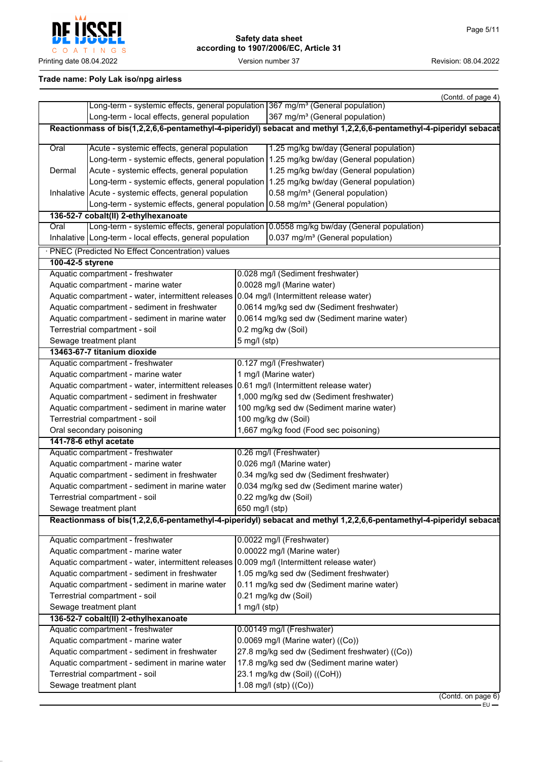

## **Trade name: Poly Lak iso/npg airless**

|                                                |                                                                                                                     |                                            | (Contd. of page 4)                                                                                                  |  |  |
|------------------------------------------------|---------------------------------------------------------------------------------------------------------------------|--------------------------------------------|---------------------------------------------------------------------------------------------------------------------|--|--|
|                                                | Long-term - systemic effects, general population 367 mg/m <sup>3</sup> (General population)                         |                                            |                                                                                                                     |  |  |
| Long-term - local effects, general population  |                                                                                                                     |                                            | 367 mg/m <sup>3</sup> (General population)                                                                          |  |  |
|                                                | Reactionmass of bis(1,2,2,6,6-pentamethyl-4-piperidyl) sebacat and methyl 1,2,2,6,6-pentamethyl-4-piperidyl sebacat |                                            |                                                                                                                     |  |  |
| Oral                                           | Acute - systemic effects, general population                                                                        |                                            | 1.25 mg/kg bw/day (General population)                                                                              |  |  |
|                                                |                                                                                                                     |                                            | Long-term - systemic effects, general population   1.25 mg/kg bw/day (General population)                           |  |  |
| Dermal                                         | Acute - systemic effects, general population                                                                        |                                            | 1.25 mg/kg bw/day (General population)                                                                              |  |  |
|                                                |                                                                                                                     |                                            | Long-term - systemic effects, general population 1.25 mg/kg bw/day (General population)                             |  |  |
|                                                | Inhalative   Acute - systemic effects, general population                                                           |                                            | 0.58 mg/m <sup>3</sup> (General population)                                                                         |  |  |
|                                                | Long-term - systemic effects, general population $0.58$ mg/m <sup>3</sup> (General population)                      |                                            |                                                                                                                     |  |  |
|                                                | 136-52-7 cobalt(II) 2-ethylhexanoate                                                                                |                                            |                                                                                                                     |  |  |
| Oral                                           |                                                                                                                     |                                            | Long-term - systemic effects, general population 0.0558 mg/kg bw/day (General population)                           |  |  |
|                                                | Inhalative   Long-term - local effects, general population                                                          |                                            | 0.037 mg/m <sup>3</sup> (General population)                                                                        |  |  |
|                                                | · PNEC (Predicted No Effect Concentration) values                                                                   |                                            |                                                                                                                     |  |  |
| 100-42-5 styrene                               |                                                                                                                     |                                            |                                                                                                                     |  |  |
|                                                | Aquatic compartment - freshwater                                                                                    |                                            | 0.028 mg/l (Sediment freshwater)                                                                                    |  |  |
|                                                | Aquatic compartment - marine water                                                                                  |                                            | 0.0028 mg/l (Marine water)                                                                                          |  |  |
|                                                | Aquatic compartment - water, intermittent releases 0.04 mg/l (Intermittent release water)                           |                                            |                                                                                                                     |  |  |
|                                                | Aquatic compartment - sediment in freshwater                                                                        |                                            | 0.0614 mg/kg sed dw (Sediment freshwater)                                                                           |  |  |
|                                                | Aquatic compartment - sediment in marine water                                                                      |                                            | 0.0614 mg/kg sed dw (Sediment marine water)                                                                         |  |  |
|                                                | Terrestrial compartment - soil                                                                                      |                                            | 0.2 mg/kg dw (Soil)                                                                                                 |  |  |
|                                                | Sewage treatment plant                                                                                              | $5$ mg/l (stp)                             |                                                                                                                     |  |  |
|                                                | 13463-67-7 titanium dioxide                                                                                         |                                            |                                                                                                                     |  |  |
|                                                | Aquatic compartment - freshwater                                                                                    |                                            | 0.127 mg/l (Freshwater)                                                                                             |  |  |
|                                                | Aquatic compartment - marine water                                                                                  | 1 mg/l (Marine water)                      |                                                                                                                     |  |  |
|                                                | Aquatic compartment - water, intermittent releases 0.61 mg/l (Intermittent release water)                           |                                            |                                                                                                                     |  |  |
|                                                | Aquatic compartment - sediment in freshwater                                                                        |                                            | 1,000 mg/kg sed dw (Sediment freshwater)                                                                            |  |  |
| Aquatic compartment - sediment in marine water |                                                                                                                     |                                            | 100 mg/kg sed dw (Sediment marine water)                                                                            |  |  |
| Terrestrial compartment - soil                 |                                                                                                                     |                                            | 100 mg/kg dw (Soil)                                                                                                 |  |  |
|                                                | Oral secondary poisoning                                                                                            |                                            | 1,667 mg/kg food (Food sec poisoning)                                                                               |  |  |
|                                                | 141-78-6 ethyl acetate                                                                                              |                                            |                                                                                                                     |  |  |
|                                                | Aquatic compartment - freshwater                                                                                    |                                            | 0.26 mg/l (Freshwater)                                                                                              |  |  |
| Aquatic compartment - marine water             |                                                                                                                     |                                            | 0.026 mg/l (Marine water)                                                                                           |  |  |
| Aquatic compartment - sediment in freshwater   |                                                                                                                     | 0.34 mg/kg sed dw (Sediment freshwater)    |                                                                                                                     |  |  |
| Aquatic compartment - sediment in marine water |                                                                                                                     | 0.034 mg/kg sed dw (Sediment marine water) |                                                                                                                     |  |  |
| Terrestrial compartment - soil                 |                                                                                                                     | 0.22 mg/kg dw (Soil)                       |                                                                                                                     |  |  |
| Sewage treatment plant                         |                                                                                                                     | 650 mg/l (stp)                             |                                                                                                                     |  |  |
|                                                |                                                                                                                     |                                            | Reactionmass of bis(1,2,2,6,6-pentamethyl-4-piperidyl) sebacat and methyl 1,2,2,6,6-pentamethyl-4-piperidyl sebacat |  |  |
|                                                | Aquatic compartment - freshwater                                                                                    |                                            | 0.0022 mg/l (Freshwater)                                                                                            |  |  |
|                                                | Aquatic compartment - marine water                                                                                  | 0.00022 mg/l (Marine water)                |                                                                                                                     |  |  |
|                                                | Aquatic compartment - water, intermittent releases 0.009 mg/l (Intermittent release water)                          |                                            |                                                                                                                     |  |  |
|                                                | Aquatic compartment - sediment in freshwater                                                                        | 1.05 mg/kg sed dw (Sediment freshwater)    |                                                                                                                     |  |  |
|                                                | Aquatic compartment - sediment in marine water                                                                      | 0.11 mg/kg sed dw (Sediment marine water)  |                                                                                                                     |  |  |
|                                                | Terrestrial compartment - soil                                                                                      | 0.21 mg/kg dw (Soil)                       |                                                                                                                     |  |  |
|                                                | Sewage treatment plant                                                                                              | 1 mg/l $(stp)$                             |                                                                                                                     |  |  |
|                                                | 136-52-7 cobalt(II) 2-ethylhexanoate                                                                                |                                            |                                                                                                                     |  |  |
|                                                | Aquatic compartment - freshwater                                                                                    |                                            | 0.00149 mg/l (Freshwater)                                                                                           |  |  |
|                                                | Aquatic compartment - marine water                                                                                  |                                            | 0.0069 mg/l (Marine water) ((Co))                                                                                   |  |  |
|                                                | Aquatic compartment - sediment in freshwater                                                                        |                                            | 27.8 mg/kg sed dw (Sediment freshwater) ((Co))                                                                      |  |  |
| Aquatic compartment - sediment in marine water |                                                                                                                     |                                            | 17.8 mg/kg sed dw (Sediment marine water)                                                                           |  |  |
| Terrestrial compartment - soil                 |                                                                                                                     | 23.1 mg/kg dw (Soil) ((CoH))               |                                                                                                                     |  |  |
| Sewage treatment plant                         |                                                                                                                     | 1.08 mg/l (stp) ((Co))                     |                                                                                                                     |  |  |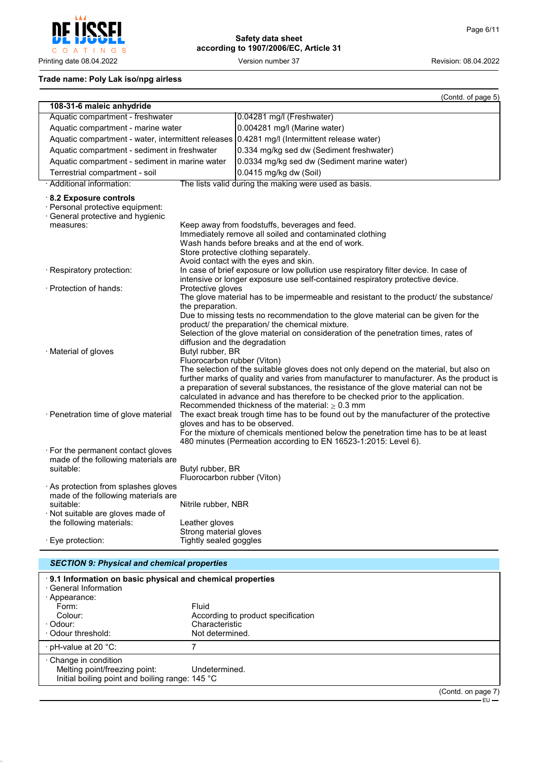$\mathsf C$ O A T I N G S

## **Safety data sheet according to 1907/2006/EC, Article 31**

Printing date 08.04.2022 Version number 37 Revision: 08.04.2022

## **Trade name: Poly Lak iso/npg airless**

|                                                                                                                                                         |                                                                                                                                                                                                                                                                                                                                                                                                                                                                                                                                               | (Contd. of page 5)                                                                                                                                                     |  |  |
|---------------------------------------------------------------------------------------------------------------------------------------------------------|-----------------------------------------------------------------------------------------------------------------------------------------------------------------------------------------------------------------------------------------------------------------------------------------------------------------------------------------------------------------------------------------------------------------------------------------------------------------------------------------------------------------------------------------------|------------------------------------------------------------------------------------------------------------------------------------------------------------------------|--|--|
| 108-31-6 maleic anhydride                                                                                                                               |                                                                                                                                                                                                                                                                                                                                                                                                                                                                                                                                               |                                                                                                                                                                        |  |  |
| Aquatic compartment - freshwater                                                                                                                        |                                                                                                                                                                                                                                                                                                                                                                                                                                                                                                                                               | 0.04281 mg/l (Freshwater)                                                                                                                                              |  |  |
| Aquatic compartment - marine water                                                                                                                      |                                                                                                                                                                                                                                                                                                                                                                                                                                                                                                                                               | 0.004281 mg/l (Marine water)                                                                                                                                           |  |  |
| Aquatic compartment - water, intermittent releases                                                                                                      |                                                                                                                                                                                                                                                                                                                                                                                                                                                                                                                                               | 0.4281 mg/l (Intermittent release water)                                                                                                                               |  |  |
| Aquatic compartment - sediment in freshwater                                                                                                            |                                                                                                                                                                                                                                                                                                                                                                                                                                                                                                                                               | 0.334 mg/kg sed dw (Sediment freshwater)                                                                                                                               |  |  |
| Aquatic compartment - sediment in marine water                                                                                                          |                                                                                                                                                                                                                                                                                                                                                                                                                                                                                                                                               | 0.0334 mg/kg sed dw (Sediment marine water)                                                                                                                            |  |  |
| Terrestrial compartment - soil                                                                                                                          |                                                                                                                                                                                                                                                                                                                                                                                                                                                                                                                                               | 0.0415 mg/kg dw (Soil)                                                                                                                                                 |  |  |
| · Additional information:                                                                                                                               |                                                                                                                                                                                                                                                                                                                                                                                                                                                                                                                                               | The lists valid during the making were used as basis.                                                                                                                  |  |  |
| $\cdot$ 8.2 Exposure controls<br>· Personal protective equipment:<br>· General protective and hygienic<br>measures:                                     |                                                                                                                                                                                                                                                                                                                                                                                                                                                                                                                                               | Keep away from foodstuffs, beverages and feed.                                                                                                                         |  |  |
|                                                                                                                                                         | Immediately remove all soiled and contaminated clothing<br>Wash hands before breaks and at the end of work.<br>Store protective clothing separately.<br>Avoid contact with the eyes and skin.                                                                                                                                                                                                                                                                                                                                                 |                                                                                                                                                                        |  |  |
| · Respiratory protection:                                                                                                                               |                                                                                                                                                                                                                                                                                                                                                                                                                                                                                                                                               | In case of brief exposure or low pollution use respiratory filter device. In case of<br>intensive or longer exposure use self-contained respiratory protective device. |  |  |
| $\cdot$ Protection of hands:                                                                                                                            | Protective gloves                                                                                                                                                                                                                                                                                                                                                                                                                                                                                                                             |                                                                                                                                                                        |  |  |
| · Material of gloves                                                                                                                                    | The glove material has to be impermeable and resistant to the product/ the substance/<br>the preparation.<br>Due to missing tests no recommendation to the glove material can be given for the<br>product/ the preparation/ the chemical mixture.<br>Selection of the glove material on consideration of the penetration times, rates of<br>diffusion and the degradation<br>Butyl rubber, BR                                                                                                                                                 |                                                                                                                                                                        |  |  |
| · Penetration time of glove material                                                                                                                    | Fluorocarbon rubber (Viton)<br>The selection of the suitable gloves does not only depend on the material, but also on<br>further marks of quality and varies from manufacturer to manufacturer. As the product is<br>a preparation of several substances, the resistance of the glove material can not be<br>calculated in advance and has therefore to be checked prior to the application.<br>Recommended thickness of the material: $\geq 0.3$ mm<br>The exact break trough time has to be found out by the manufacturer of the protective |                                                                                                                                                                        |  |  |
|                                                                                                                                                         | gloves and has to be observed.<br>For the mixture of chemicals mentioned below the penetration time has to be at least<br>480 minutes (Permeation according to EN 16523-1:2015: Level 6).                                                                                                                                                                                                                                                                                                                                                     |                                                                                                                                                                        |  |  |
| For the permanent contact gloves<br>made of the following materials are<br>suitable:                                                                    | Butyl rubber, BR<br>Fluorocarbon rubber (Viton)                                                                                                                                                                                                                                                                                                                                                                                                                                                                                               |                                                                                                                                                                        |  |  |
| · As protection from splashes gloves<br>made of the following materials are<br>suitable:<br>Not suitable are gloves made of<br>the following materials: | Nitrile rubber, NBR<br>Leather gloves                                                                                                                                                                                                                                                                                                                                                                                                                                                                                                         |                                                                                                                                                                        |  |  |
| · Eye protection:                                                                                                                                       | Strong material gloves<br>Tightly sealed goggles                                                                                                                                                                                                                                                                                                                                                                                                                                                                                              |                                                                                                                                                                        |  |  |

## *SECTION 9: Physical and chemical properties*

| 9.1 Information on basic physical and chemical properties<br>· General Information<br>· Appearance:     |                                                                                  |                    |
|---------------------------------------------------------------------------------------------------------|----------------------------------------------------------------------------------|--------------------|
| Form:<br>Colour:<br>· Odour:<br>Odour threshold:                                                        | Fluid<br>According to product specification<br>Characteristic<br>Not determined. |                    |
| ⋅ pH-value at 20 °C:                                                                                    |                                                                                  |                    |
| Change in condition<br>Melting point/freezing point:<br>Initial boiling point and boiling range: 145 °C | Undetermined                                                                     |                    |
|                                                                                                         |                                                                                  | (Contd. on page 7) |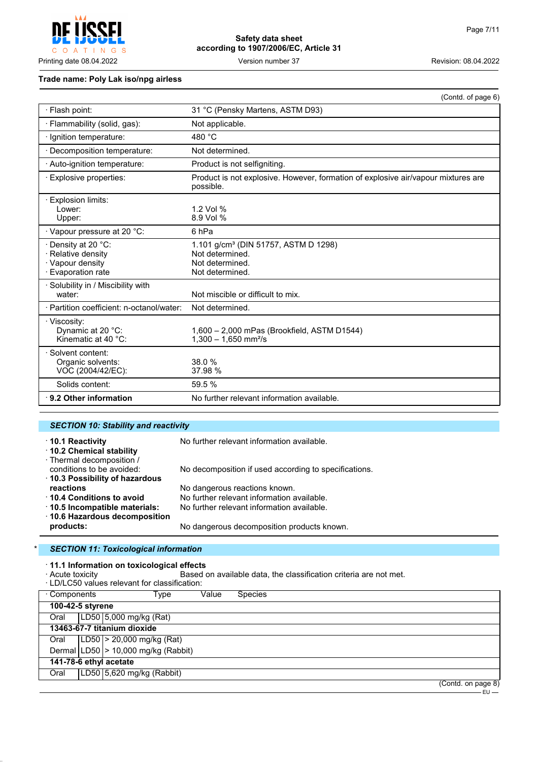$\mathsf{C}$  $\circ$  $\overline{A}$ INGS  $\top$ 

**Safety data sheet according to 1907/2006/EC, Article 31**

Printing date 08.04.2022 **Version number 37** Version number 37 Revision: 08.04.2022

## **Trade name: Poly Lak iso/npg airless**

|                                                                                     | (Contd. of page 6)                                                                                        |
|-------------------------------------------------------------------------------------|-----------------------------------------------------------------------------------------------------------|
| · Flash point:                                                                      | 31 °C (Pensky Martens, ASTM D93)                                                                          |
| · Flammability (solid, gas):                                                        | Not applicable.                                                                                           |
| · Ignition temperature:                                                             | 480 $^{\circ}$ C                                                                                          |
| Decomposition temperature:                                                          | Not determined.                                                                                           |
| · Auto-ignition temperature:                                                        | Product is not selfigniting.                                                                              |
| <b>Explosive properties:</b>                                                        | Product is not explosive. However, formation of explosive air/vapour mixtures are<br>possible.            |
| $\cdot$ Explosion limits:<br>Lower:<br>Upper:                                       | 1.2 Vol %<br>8.9 Vol %                                                                                    |
| · Vapour pressure at 20 °C:                                                         | 6 <sub>hPa</sub>                                                                                          |
| · Density at 20 °C:<br>· Relative density<br>· Vapour density<br>· Evaporation rate | 1.101 g/cm <sup>3</sup> (DIN 51757, ASTM D 1298)<br>Not determined.<br>Not determined.<br>Not determined. |
| · Solubility in / Miscibility with<br>water:                                        | Not miscible or difficult to mix.                                                                         |
| · Partition coefficient: n-octanol/water:                                           | Not determined.                                                                                           |
| · Viscosity:<br>Dynamic at 20 °C:<br>Kinematic at 40 °C:                            | 1,600 - 2,000 mPas (Brookfield, ASTM D1544)<br>$1,300 - 1,650$ mm <sup>2</sup> /s                         |
| · Solvent content:<br>Organic solvents:<br>VOC (2004/42/EC):                        | 38.0 %<br>37.98 %                                                                                         |
| Solids content:                                                                     | 59.5 %                                                                                                    |
| $\cdot$ 9.2 Other information                                                       | No further relevant information available.                                                                |

## *SECTION 10: Stability and reactivity*

| 10.1 Reactivity<br>10.2 Chemical stability                                              | No further relevant information available.            |
|-----------------------------------------------------------------------------------------|-------------------------------------------------------|
| · Thermal decomposition /<br>conditions to be avoided:<br>10.3 Possibility of hazardous | No decomposition if used according to specifications. |
| reactions                                                                               | No dangerous reactions known.                         |
| 10.4 Conditions to avoid                                                                | No further relevant information available.            |
| 10.5 Incompatible materials:                                                            | No further relevant information available.            |
| ⋅ 10.6 Hazardous decomposition                                                          |                                                       |
| products:                                                                               | No dangerous decomposition products known.            |

## \* *SECTION 11: Toxicological information*

· **11.1 Information on toxicological effects**

Based on available data, the classification criteria are not met.<br>cation:

| Components .     | Type                                    | Value | <b>Species</b> |  |                    |
|------------------|-----------------------------------------|-------|----------------|--|--------------------|
| 100-42-5 styrene |                                         |       |                |  |                    |
| Oral             | LD50 5,000 mg/kg (Rat)                  |       |                |  |                    |
|                  | 13463-67-7 titanium dioxide             |       |                |  |                    |
| Oral             | $ LD50  > 20,000$ mg/kg (Rat)           |       |                |  |                    |
|                  | Dermal $ LD50 $ > 10,000 mg/kg (Rabbit) |       |                |  |                    |
|                  | 141-78-6 ethyl acetate                  |       |                |  |                    |
| Oral             | LD50 5,620 mg/kg (Rabbit)               |       |                |  |                    |
|                  |                                         |       |                |  | (Contd. on page 8) |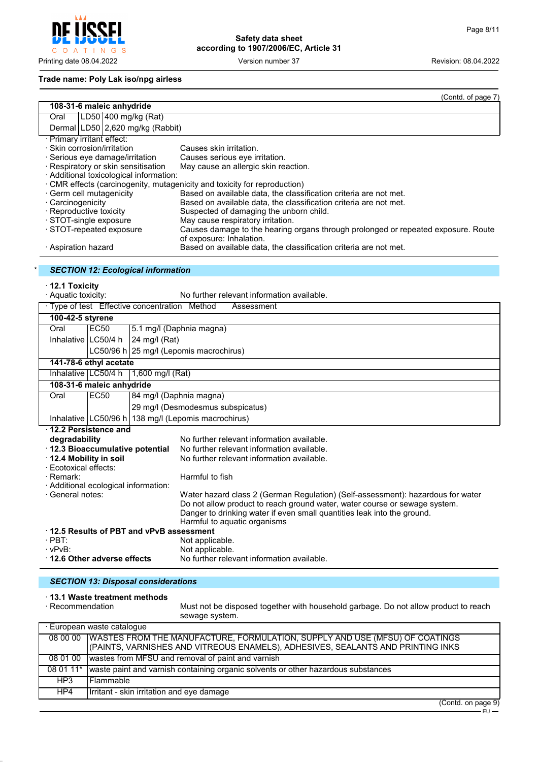$\mathsf{C}$ O A T I N G S

**Safety data sheet according to 1907/2006/EC, Article 31**

Printing date 08.04.2022 Version number 37 Revision: 08.04.2022

## **Trade name: Poly Lak iso/npg airless**

|                                                                      | (Contd. of page 7)                                                                                                                                    |  |  |  |
|----------------------------------------------------------------------|-------------------------------------------------------------------------------------------------------------------------------------------------------|--|--|--|
| 108-31-6 maleic anhydride                                            |                                                                                                                                                       |  |  |  |
| LD50 400 mg/kg (Rat)<br>Oral                                         |                                                                                                                                                       |  |  |  |
| Dermal LD50 2,620 mg/kg (Rabbit)                                     |                                                                                                                                                       |  |  |  |
| · Primary irritant effect:                                           |                                                                                                                                                       |  |  |  |
| · Skin corrosion/irritation                                          | Causes skin irritation.                                                                                                                               |  |  |  |
| Serious eye damage/irritation<br>· Respiratory or skin sensitisation | Causes serious eye irritation.<br>May cause an allergic skin reaction.                                                                                |  |  |  |
| · Additional toxicological information:                              |                                                                                                                                                       |  |  |  |
|                                                                      | · CMR effects (carcinogenity, mutagenicity and toxicity for reproduction)                                                                             |  |  |  |
| · Germ cell mutagenicity                                             | Based on available data, the classification criteria are not met.                                                                                     |  |  |  |
| · Carcinogenicity                                                    | Based on available data, the classification criteria are not met.                                                                                     |  |  |  |
| · Reproductive toxicity                                              | Suspected of damaging the unborn child.                                                                                                               |  |  |  |
| · STOT-single exposure<br>· STOT-repeated exposure                   | May cause respiratory irritation.<br>Causes damage to the hearing organs through prolonged or repeated exposure. Route                                |  |  |  |
|                                                                      | of exposure: Inhalation.                                                                                                                              |  |  |  |
| · Aspiration hazard                                                  | Based on available data, the classification criteria are not met.                                                                                     |  |  |  |
|                                                                      |                                                                                                                                                       |  |  |  |
| <b>SECTION 12: Ecological information</b>                            |                                                                                                                                                       |  |  |  |
| $\cdot$ 12.1 Toxicity                                                |                                                                                                                                                       |  |  |  |
| · Aquatic toxicity:                                                  | No further relevant information available.                                                                                                            |  |  |  |
| · Type of test Effective concentration Method                        | Assessment                                                                                                                                            |  |  |  |
| 100-42-5 styrene                                                     |                                                                                                                                                       |  |  |  |
| <b>EC50</b><br>Oral                                                  | 5.1 mg/l (Daphnia magna)                                                                                                                              |  |  |  |
| Inhalative LC50/4 h<br>24 mg/l (Rat)                                 |                                                                                                                                                       |  |  |  |
| LC50/96 h 25 mg/l (Lepomis macrochirus)                              |                                                                                                                                                       |  |  |  |
| 141-78-6 ethyl acetate                                               |                                                                                                                                                       |  |  |  |
| Inhalative   LC50/4 h<br>1,600 mg/l (Rat)                            |                                                                                                                                                       |  |  |  |
| 108-31-6 maleic anhydride                                            |                                                                                                                                                       |  |  |  |
| EC50<br>Oral                                                         | 84 mg/l (Daphnia magna)                                                                                                                               |  |  |  |
|                                                                      | 29 mg/l (Desmodesmus subspicatus)                                                                                                                     |  |  |  |
| Inhalative   LC50/96 h   138 mg/l (Lepomis macrochirus)              |                                                                                                                                                       |  |  |  |
| 12.2 Persistence and                                                 |                                                                                                                                                       |  |  |  |
| degradability                                                        | No further relevant information available.                                                                                                            |  |  |  |
| · 12.3 Bioaccumulative potential                                     | No further relevant information available.                                                                                                            |  |  |  |
| 12.4 Mobility in soil<br>· Ecotoxical effects:                       | No further relevant information available.                                                                                                            |  |  |  |
| · Remark:                                                            | Harmful to fish                                                                                                                                       |  |  |  |
| · Additional ecological information:                                 |                                                                                                                                                       |  |  |  |
| · General notes:                                                     | Water hazard class 2 (German Regulation) (Self-assessment): hazardous for water                                                                       |  |  |  |
|                                                                      | Do not allow product to reach ground water, water course or sewage system.<br>Danger to drinking water if even small quantities leak into the ground. |  |  |  |
|                                                                      | Harmful to aquatic organisms                                                                                                                          |  |  |  |
| 12.5 Results of PBT and vPvB assessment                              |                                                                                                                                                       |  |  |  |
| $·$ PBT:                                                             | Not applicable.                                                                                                                                       |  |  |  |

## *SECTION 13: Disposal considerations*

· vPvB: Not applicable.

· **12.6 Other adverse effects** No further relevant information available.

#### · **13.1 Waste treatment methods**

| · Recommendation | Must not be disposed together with household garbage. Do not allow product to reach<br>sewage system.                                                          |  |
|------------------|----------------------------------------------------------------------------------------------------------------------------------------------------------------|--|
|                  | · European waste cataloque                                                                                                                                     |  |
| 08 00 00         | WASTES FROM THE MANUFACTURE, FORMULATION, SUPPLY AND USE (MFSU) OF COATINGS<br>(PAINTS, VARNISHES AND VITREOUS ENAMELS), ADHESIVES, SEALANTS AND PRINTING INKS |  |
| 08 01 00         | wastes from MFSU and removal of paint and varnish                                                                                                              |  |
| 08 01 11*        | waste paint and varnish containing organic solvents or other hazardous substances                                                                              |  |
| HP3              | l Flammable                                                                                                                                                    |  |
| HP4              | Irritant - skin irritation and eye damage                                                                                                                      |  |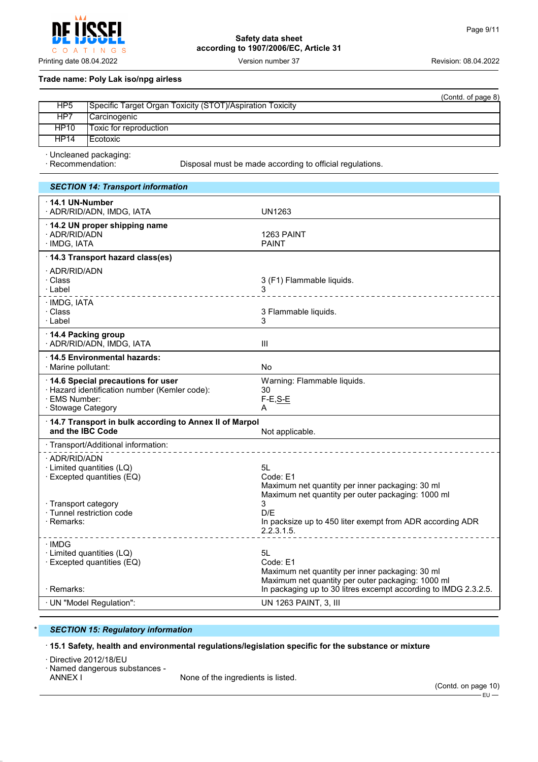$\circ$  $\overline{A}$ INGS  $\top$ 

**Safety data sheet according to 1907/2006/EC, Article 31**

## **Trade name: Poly Lak iso/npg airless**

|                 | (Contd. of page 8)                                        |
|-----------------|-----------------------------------------------------------|
| HP <sub>5</sub> | Specific Target Organ Toxicity (STOT)/Aspiration Toxicity |
| HP7             | Carcinogenic_                                             |
| HP10            | Toxic for reproduction                                    |
| <b>HP14</b>     | l Ecotoxic                                                |
|                 | . Uncleaned packaging:                                    |

· Uncleaned packaging:

Disposal must be made according to official regulations.

## *SECTION 14: Transport information*

| $\cdot$ 14.1 UN-Number<br>· ADR/RID/ADN, IMDG, IATA                                                                       | UN1263                                                                                                                 |
|---------------------------------------------------------------------------------------------------------------------------|------------------------------------------------------------------------------------------------------------------------|
| 14.2 UN proper shipping name<br>· ADR/RID/ADN<br>· IMDG, IATA                                                             | 1263 PAINT<br>PAINT                                                                                                    |
| 14.3 Transport hazard class(es)                                                                                           |                                                                                                                        |
| · ADR/RID/ADN<br>· Class<br>∙Label                                                                                        | 3 (F1) Flammable liquids.<br>__________________                                                                        |
| · IMDG, IATA<br>· Class<br>∙Label                                                                                         | 3 Flammable liquids.<br>3                                                                                              |
| 14.4 Packing group<br>· ADR/RID/ADN, IMDG, IATA                                                                           | $\mathbf{III}$                                                                                                         |
| ⋅14.5 Environmental hazards:<br>· Marine pollutant:                                                                       | No                                                                                                                     |
| 14.6 Special precautions for user<br>· Hazard identification number (Kemler code):<br>· EMS Number:<br>· Stowage Category | Warning: Flammable liquids.<br>30<br>$F-E, S-E$<br>A                                                                   |
| 14.7 Transport in bulk according to Annex II of Marpol<br>and the IBC Code                                                | Not applicable.                                                                                                        |
| · Transport/Additional information:                                                                                       |                                                                                                                        |
| · ADR/RID/ADN<br>· Limited quantities (LQ)<br>· Excepted quantities (EQ)                                                  | 5L<br>Code: E1<br>Maximum net quantity per inner packaging: 30 ml<br>Maximum net quantity per outer packaging: 1000 ml |
| · Transport category<br>· Tunnel restriction code<br>· Remarks:                                                           | 3<br>D/F<br>In packsize up to 450 liter exempt from ADR according ADR<br>2.2.3.1.5.                                    |
| ∙IMDG<br>· Limited quantities (LQ)<br>· Excepted quantities (EQ)                                                          | 5L<br>Code: E1<br>Maximum net quantity per inner packaging: 30 ml<br>Maximum net quantity per outer packaging: 1000 ml |
| · Remarks:                                                                                                                | In packaging up to 30 litres excempt according to IMDG 2.3.2.5.                                                        |
| · UN "Model Regulation":                                                                                                  | UN 1263 PAINT, 3, III                                                                                                  |

## **SECTION 15: Regulatory information**

· **15.1 Safety, health and environmental regulations/legislation specific for the substance or mixture**

· Directive 2012/18/EU

· Named dangerous substances -

None of the ingredients is listed.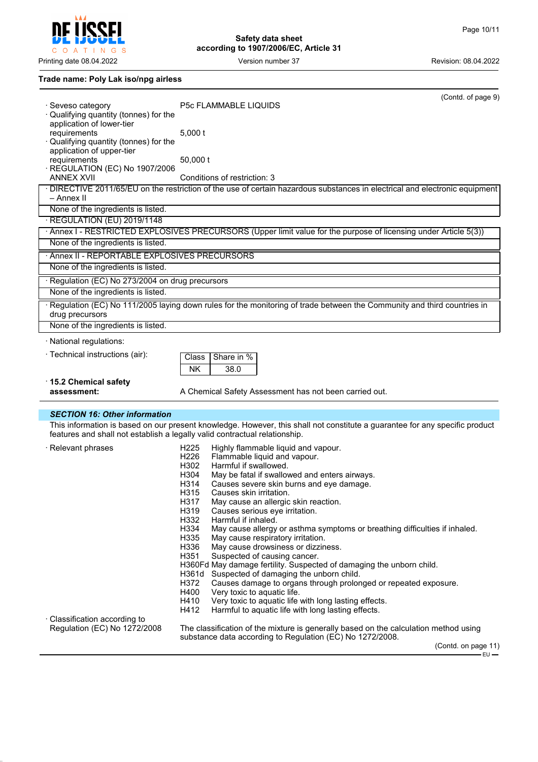**Safety data sheet according to 1907/2006/EC, Article 31**

## **Trade name: Poly Lak iso/npg airless**

| · Seveso category                                | (Contd. of page 9)<br>P5c FLAMMABLE LIQUIDS                                                                                                       |  |  |  |
|--------------------------------------------------|---------------------------------------------------------------------------------------------------------------------------------------------------|--|--|--|
| · Qualifying quantity (tonnes) for the           |                                                                                                                                                   |  |  |  |
| application of lower-tier<br>requirements        | 5.000 t                                                                                                                                           |  |  |  |
| Qualifying quantity (tonnes) for the             |                                                                                                                                                   |  |  |  |
| application of upper-tier                        |                                                                                                                                                   |  |  |  |
| requirements<br>REGULATION (EC) No 1907/2006     | 50,000 t                                                                                                                                          |  |  |  |
| <b>ANNEX XVII</b>                                | Conditions of restriction: 3                                                                                                                      |  |  |  |
| - Annex II                                       | · DIRECTIVE 2011/65/EU on the restriction of the use of certain hazardous substances in electrical and electronic equipment                       |  |  |  |
| None of the ingredients is listed.               |                                                                                                                                                   |  |  |  |
| · REGULATION (EU) 2019/1148                      |                                                                                                                                                   |  |  |  |
|                                                  | · Annex I - RESTRICTED EXPLOSIVES PRECURSORS (Upper limit value for the purpose of licensing under Article 5(3))                                  |  |  |  |
| None of the ingredients is listed.               |                                                                                                                                                   |  |  |  |
| · Annex II - REPORTABLE EXPLOSIVES PRECURSORS    |                                                                                                                                                   |  |  |  |
| None of the ingredients is listed.               |                                                                                                                                                   |  |  |  |
| · Regulation (EC) No 273/2004 on drug precursors |                                                                                                                                                   |  |  |  |
| None of the ingredients is listed.               |                                                                                                                                                   |  |  |  |
| drug precursors                                  | · Regulation (EC) No 111/2005 laying down rules for the monitoring of trade between the Community and third countries in                          |  |  |  |
| None of the ingredients is listed.               |                                                                                                                                                   |  |  |  |
| · National regulations:                          |                                                                                                                                                   |  |  |  |
| · Technical instructions (air):                  | Share in %<br>Class                                                                                                                               |  |  |  |
|                                                  | <b>NK</b><br>38.0                                                                                                                                 |  |  |  |
| ⋅15.2 Chemical safety                            |                                                                                                                                                   |  |  |  |
| assessment:                                      | A Chemical Safety Assessment has not been carried out.                                                                                            |  |  |  |
| <b>SECTION 16: Other information</b>             |                                                                                                                                                   |  |  |  |
|                                                  | This information is based on our present knowledge. However, this shall not constitute a guarantee for any specific product                       |  |  |  |
|                                                  | features and shall not establish a legally valid contractual relationship.                                                                        |  |  |  |
| · Relevant phrases                               | Highly flammable liquid and vapour.<br>H <sub>225</sub><br>Flammable liquid and vapour.<br>H <sub>226</sub>                                       |  |  |  |
|                                                  | H302<br>Harmful if swallowed.                                                                                                                     |  |  |  |
|                                                  | H304<br>May be fatal if swallowed and enters airways.                                                                                             |  |  |  |
|                                                  | Causes severe skin burns and eye damage.<br>H314<br>H315<br>Causes skin irritation.                                                               |  |  |  |
|                                                  | H317<br>May cause an allergic skin reaction.                                                                                                      |  |  |  |
|                                                  | H319<br>Causes serious eye irritation.                                                                                                            |  |  |  |
|                                                  | H332<br>Harmful if inhaled.<br>H334<br>May cause allergy or asthma symptoms or breathing difficulties if inhaled.                                 |  |  |  |
|                                                  | H335<br>May cause respiratory irritation.                                                                                                         |  |  |  |
|                                                  | H336<br>May cause drowsiness or dizziness.                                                                                                        |  |  |  |
|                                                  | H351<br>Suspected of causing cancer.<br>H360Fd May damage fertility. Suspected of damaging the unborn child.                                      |  |  |  |
|                                                  | Suspected of damaging the unborn child.<br>H361d                                                                                                  |  |  |  |
|                                                  | H372<br>Causes damage to organs through prolonged or repeated exposure.                                                                           |  |  |  |
|                                                  | H400<br>Very toxic to aquatic life.<br>H410<br>Very toxic to aquatic life with long lasting effects.                                              |  |  |  |
|                                                  | H412<br>Harmful to aquatic life with long lasting effects.                                                                                        |  |  |  |
| · Classification according to                    |                                                                                                                                                   |  |  |  |
| Regulation (EC) No 1272/2008                     | The classification of the mixture is generally based on the calculation method using<br>substance data according to Regulation (EC) No 1272/2008. |  |  |  |
|                                                  | (Contd. on page 11)                                                                                                                               |  |  |  |





Printing date 08.04.2022 **Version number 37** Version 100 Version 2002 Revision: 08.04.2022